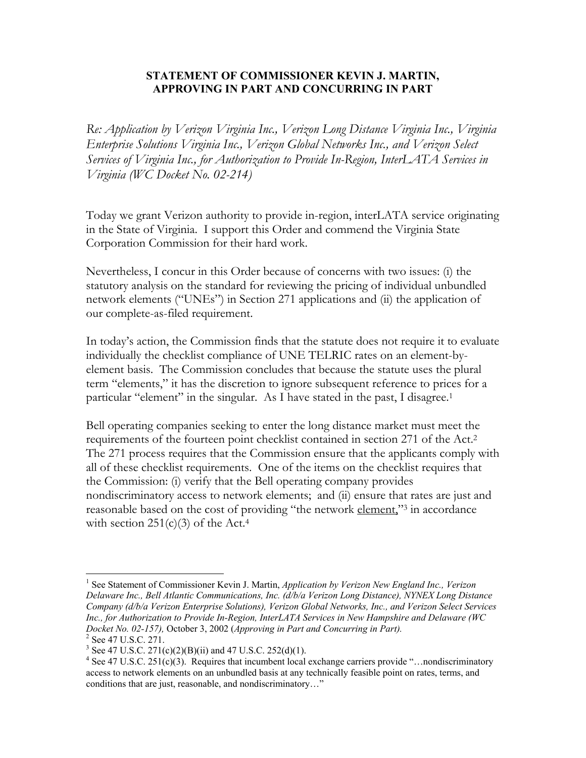## **STATEMENT OF COMMISSIONER KEVIN J. MARTIN, APPROVING IN PART AND CONCURRING IN PART**

*Re: Application by Verizon Virginia Inc., Verizon Long Distance Virginia Inc., Virginia Enterprise Solutions Virginia Inc., Verizon Global Networks Inc., and Verizon Select Services of Virginia Inc., for Authorization to Provide In-Region, InterLATA Services in Virginia (WC Docket No. 02-214)* 

Today we grant Verizon authority to provide in-region, interLATA service originating in the State of Virginia. I support this Order and commend the Virginia State Corporation Commission for their hard work.

Nevertheless, I concur in this Order because of concerns with two issues: (i) the statutory analysis on the standard for reviewing the pricing of individual unbundled network elements ("UNEs") in Section 271 applications and (ii) the application of our complete-as-filed requirement.

In today's action, the Commission finds that the statute does not require it to evaluate individually the checklist compliance of UNE TELRIC rates on an element-byelement basis. The Commission concludes that because the statute uses the plural term "elements," it has the discretion to ignore subsequent reference to prices for a particular "element" in the singular. As I have stated in the past, I disagree.<sup>1</sup>

Bell operating companies seeking to enter the long distance market must meet the requirements of the fourteen point checklist contained in section 271 of the Act.2 The 271 process requires that the Commission ensure that the applicants comply with all of these checklist requirements. One of the items on the checklist requires that the Commission: (i) verify that the Bell operating company provides nondiscriminatory access to network elements; and (ii) ensure that rates are just and reasonable based on the cost of providing "the network element,"<sup>3</sup> in accordance with section  $251(c)(3)$  of the Act.<sup>4</sup>

 $\overline{a}$ <sup>1</sup> See Statement of Commissioner Kevin J. Martin, *Application by Verizon New England Inc., Verizon Delaware Inc., Bell Atlantic Communications, Inc. (d/b/a Verizon Long Distance), NYNEX Long Distance Company (d/b/a Verizon Enterprise Solutions), Verizon Global Networks, Inc., and Verizon Select Services Inc., for Authorization to Provide In-Region, InterLATA Services in New Hampshire and Delaware (WC Docket No. 02-157),* October 3, 2002 (*Approving in Part and Concurring in Part).* <sup>2</sup>

<sup>&</sup>lt;sup>2</sup> See 47 U.S.C. 271.

<sup>&</sup>lt;sup>3</sup> See 47 U.S.C. 271(c)(2)(B)(ii) and 47 U.S.C. 252(d)(1).

<sup>&</sup>lt;sup>4</sup> See 47 U.S.C. 251(c)(3). Requires that incumbent local exchange carriers provide "...nondiscriminatory access to network elements on an unbundled basis at any technically feasible point on rates, terms, and conditions that are just, reasonable, and nondiscriminatory…"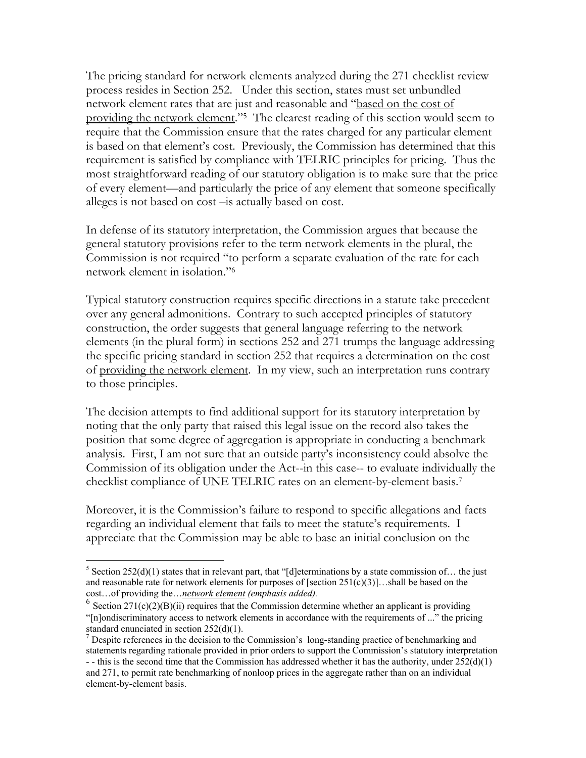The pricing standard for network elements analyzed during the 271 checklist review process resides in Section 252. Under this section, states must set unbundled network element rates that are just and reasonable and "based on the cost of providing the network element."5 The clearest reading of this section would seem to require that the Commission ensure that the rates charged for any particular element is based on that element's cost. Previously, the Commission has determined that this requirement is satisfied by compliance with TELRIC principles for pricing. Thus the most straightforward reading of our statutory obligation is to make sure that the price of every element—and particularly the price of any element that someone specifically alleges is not based on cost –is actually based on cost.

In defense of its statutory interpretation, the Commission argues that because the general statutory provisions refer to the term network elements in the plural, the Commission is not required "to perform a separate evaluation of the rate for each network element in isolation."6

Typical statutory construction requires specific directions in a statute take precedent over any general admonitions. Contrary to such accepted principles of statutory construction, the order suggests that general language referring to the network elements (in the plural form) in sections 252 and 271 trumps the language addressing the specific pricing standard in section 252 that requires a determination on the cost of providing the network element. In my view, such an interpretation runs contrary to those principles.

The decision attempts to find additional support for its statutory interpretation by noting that the only party that raised this legal issue on the record also takes the position that some degree of aggregation is appropriate in conducting a benchmark analysis. First, I am not sure that an outside party's inconsistency could absolve the Commission of its obligation under the Act--in this case-- to evaluate individually the checklist compliance of UNE TELRIC rates on an element-by-element basis.7

Moreover, it is the Commission's failure to respond to specific allegations and facts regarding an individual element that fails to meet the statute's requirements. I appreciate that the Commission may be able to base an initial conclusion on the

 $\overline{a}$ 

<sup>&</sup>lt;sup>5</sup> Section 252(d)(1) states that in relevant part, that "[d]eterminations by a state commission of... the just and reasonable rate for network elements for purposes of [section  $251(c)(3)$ ]...shall be based on the cost…of providing the…*network element (emphasis added).* 

 $6$  Section 271(c)(2)(B)(ii) requires that the Commission determine whether an applicant is providing "[n]ondiscriminatory access to network elements in accordance with the requirements of ..." the pricing standard enunciated in section 252(d)(1).

 $<sup>7</sup>$  Despite references in the decision to the Commission's long-standing practice of benchmarking and</sup> statements regarding rationale provided in prior orders to support the Commission's statutory interpretation - - this is the second time that the Commission has addressed whether it has the authority, under  $252(d)(1)$ and 271, to permit rate benchmarking of nonloop prices in the aggregate rather than on an individual element-by-element basis.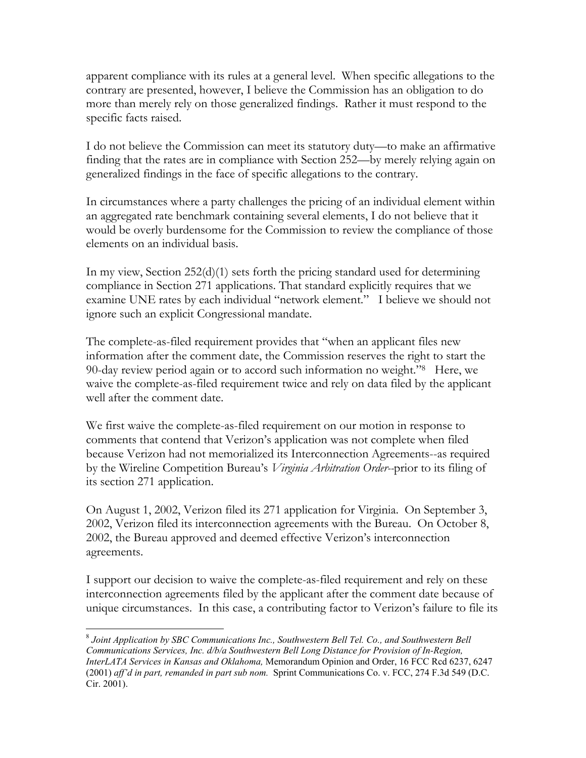apparent compliance with its rules at a general level. When specific allegations to the contrary are presented, however, I believe the Commission has an obligation to do more than merely rely on those generalized findings. Rather it must respond to the specific facts raised.

I do not believe the Commission can meet its statutory duty—to make an affirmative finding that the rates are in compliance with Section 252—by merely relying again on generalized findings in the face of specific allegations to the contrary.

In circumstances where a party challenges the pricing of an individual element within an aggregated rate benchmark containing several elements, I do not believe that it would be overly burdensome for the Commission to review the compliance of those elements on an individual basis.

In my view, Section 252(d)(1) sets forth the pricing standard used for determining compliance in Section 271 applications. That standard explicitly requires that we examine UNE rates by each individual "network element." I believe we should not ignore such an explicit Congressional mandate.

The complete-as-filed requirement provides that "when an applicant files new information after the comment date, the Commission reserves the right to start the 90-day review period again or to accord such information no weight."8 Here, we waive the complete-as-filed requirement twice and rely on data filed by the applicant well after the comment date.

We first waive the complete-as-filed requirement on our motion in response to comments that contend that Verizon's application was not complete when filed because Verizon had not memorialized its Interconnection Agreements--as required by the Wireline Competition Bureau's *Virginia Arbitration Order--*prior to its filing of its section 271 application.

On August 1, 2002, Verizon filed its 271 application for Virginia. On September 3, 2002, Verizon filed its interconnection agreements with the Bureau. On October 8, 2002, the Bureau approved and deemed effective Verizon's interconnection agreements.

I support our decision to waive the complete-as-filed requirement and rely on these interconnection agreements filed by the applicant after the comment date because of unique circumstances. In this case, a contributing factor to Verizon's failure to file its

 $\overline{a}$ 

<sup>8</sup> *Joint Application by SBC Communications Inc., Southwestern Bell Tel. Co., and Southwestern Bell Communications Services, Inc. d/b/a Southwestern Bell Long Distance for Provision of In-Region, InterLATA Services in Kansas and Oklahoma,* Memorandum Opinion and Order, 16 FCC Rcd 6237, 6247 (2001) *aff'd in part, remanded in part sub nom.* Sprint Communications Co. v. FCC, 274 F.3d 549 (D.C. Cir. 2001).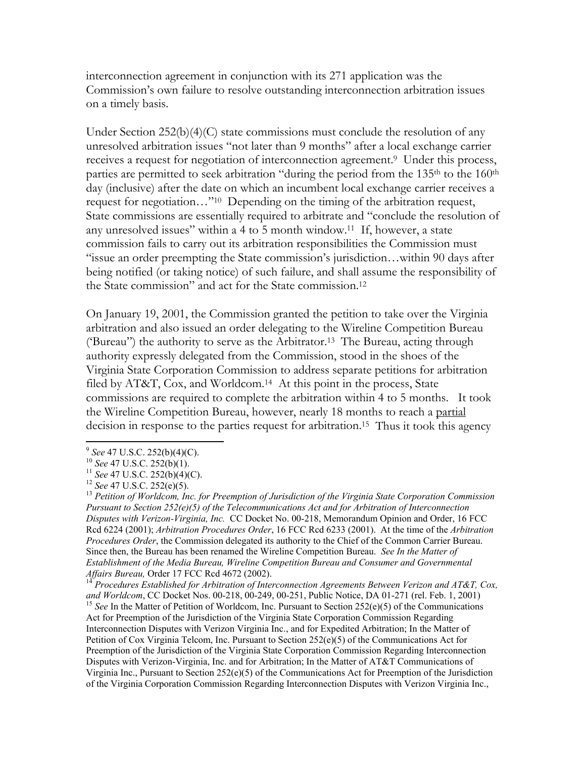interconnection agreement in conjunction with its 271 application was the Commission's own failure to resolve outstanding interconnection arbitration issues on a timely basis.

Under Section 252(b)(4)(C) state commissions must conclude the resolution of any unresolved arbitration issues "not later than 9 months" after a local exchange carrier receives a request for negotiation of interconnection agreement.9 Under this process, parties are permitted to seek arbitration "during the period from the 135<sup>th</sup> to the 160<sup>th</sup> day (inclusive) after the date on which an incumbent local exchange carrier receives a request for negotiation…"10 Depending on the timing of the arbitration request, State commissions are essentially required to arbitrate and "conclude the resolution of any unresolved issues" within a 4 to 5 month window.11 If, however, a state commission fails to carry out its arbitration responsibilities the Commission must "issue an order preempting the State commission's jurisdiction…within 90 days after being notified (or taking notice) of such failure, and shall assume the responsibility of the State commission" and act for the State commission.12

On January 19, 2001, the Commission granted the petition to take over the Virginia arbitration and also issued an order delegating to the Wireline Competition Bureau ('Bureau") the authority to serve as the Arbitrator.13 The Bureau, acting through authority expressly delegated from the Commission, stood in the shoes of the Virginia State Corporation Commission to address separate petitions for arbitration filed by AT&T, Cox, and Worldcom.14 At this point in the process, State commissions are required to complete the arbitration within 4 to 5 months. It took the Wireline Competition Bureau, however, nearly 18 months to reach a partial decision in response to the parties request for arbitration.<sup>15</sup> Thus it took this agency

 $\overline{a}$ 

<sup>&</sup>lt;sup>9</sup> See 47 U.S.C. 252(b)(4)(C).<br><sup>10</sup> See 47 U.S.C. 252(b)(1).<br><sup>11</sup> See 47 U.S.C. 252(b)(4)(C).<br><sup>12</sup> See 47 U.S.C. 252(e)(5).<br><sup>13</sup> Petition of Worldcom, Inc. for Preemption of Jurisdiction of the Virginia State Corporation *Pursuant to Section 252(e)(5) of the Telecommunications Act and for Arbitration of Interconnection Disputes with Verizon-Virginia, Inc.* CC Docket No. 00-218, Memorandum Opinion and Order, 16 FCC Rcd 6224 (2001); *Arbitration Procedures Order*, 16 FCC Rcd 6233 (2001). At the time of the *Arbitration Procedures Order*, the Commission delegated its authority to the Chief of the Common Carrier Bureau. Since then, the Bureau has been renamed the Wireline Competition Bureau. *See In the Matter of Establishment of the Media Bureau, Wireline Competition Bureau and Consumer and Governmental Affairs Bureau, Order 17 FCC Rcd 4672 (2002).*<br><sup>14</sup> *Duggedings E (11) Liverent Liverent Liverent Composition* 

<sup>&</sup>lt;sup>14</sup> *Procedures Established for Arbitration of Interconnection Agreements Between Verizon and AT&T, Cox, and Worldcom, CC Docket Nos. 00-218, 00-249, 00-251, Public Notice, DA 01-271 (rel. Feb. 1, 2001)* <sup>15</sup> See In the Matter of Petition of Worldcom, Inc. Pursuant to Section 252(e)(5) of the Communications Act for Preemption of the Jurisdiction of the Virginia State Corporation Commission Regarding Interconnection Disputes with Verizon Virginia Inc., and for Expedited Arbitration; In the Matter of Petition of Cox Virginia Telcom, Inc. Pursuant to Section 252(e)(5) of the Communications Act for Preemption of the Jurisdiction of the Virginia State Corporation Commission Regarding Interconnection Disputes with Verizon-Virginia, Inc. and for Arbitration; In the Matter of AT&T Communications of Virginia Inc., Pursuant to Section 252(e)(5) of the Communications Act for Preemption of the Jurisdiction of the Virginia Corporation Commission Regarding Interconnection Disputes with Verizon Virginia Inc.,